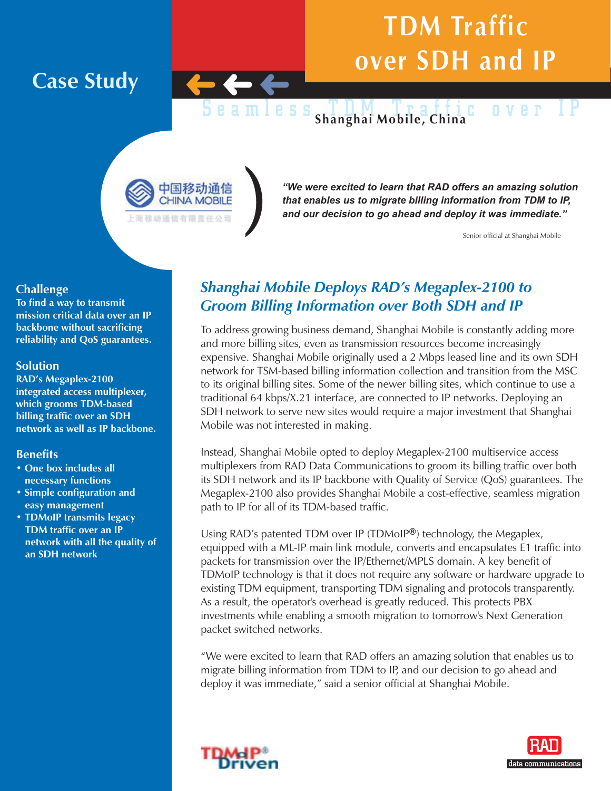## **TDM Traffic over SDH and IP**

**Case Study**

#### Seamless TDM Traffic over IP **Shanghai Mobile, China**



*"We were excited to learn that RAD offers an amazing solution that enables us to migrate billing information from TDM to IP, and our decision to go ahead and deploy it was immediate."*

Senior official at Shanghai Mobile

#### **Challenge**

**To find a way to transmit mission critical data over an IP backbone without sacrificing reliability and QoS guarantees.**

#### **Solution**

**RAD's Megaplex-2100 integrated access multiplexer, which grooms TDM-based billing traffic over an SDH network as well as IP backbone.**

#### **Benefits**

- **One box includes all necessary functions**
- **Simple configuration and easy management**
- **TDMoIP transmits legacy TDM traffic over an IP network with all the quality of an SDH network**

### *Shanghai Mobile Deploys RAD's Megaplex-2100 to Groom Billing Information over Both SDH and IP*

To address growing business demand, Shanghai Mobile is constantly adding more and more billing sites, even as transmission resources become increasingly expensive. Shanghai Mobile originally used a 2 Mbps leased line and its own SDH network for TSM-based billing information collection and transition from the MSC to its original billing sites. Some of the newer billing sites, which continue to use a traditional 64 kbps/X.21 interface, are connected to IP networks. Deploying an SDH network to serve new sites would require a major investment that Shanghai Mobile was not interested in making.

Instead, Shanghai Mobile opted to deploy Megaplex-2100 multiservice access multiplexers from RAD Data Communications to groom its billing traffic over both its SDH network and its IP backbone with Quality of Service (QoS) guarantees. The Megaplex-2100 also provides Shanghai Mobile a cost-effective, seamless migration path to IP for all of its TDM-based traffic.

Using RAD's patented TDM over IP (TDMoIP<sup>®</sup>) technology, the Megaplex, equipped with a ML-IP main link module, converts and encapsulates E1 traffic into packets for transmission over the IP/Ethernet/MPLS domain. A key benefit of TDMoIP technology is that it does not require any software or hardware upgrade to existing TDM equipment, transporting TDM signaling and protocols transparently. As a result, the operator's overhead is greatly reduced. This protects PBX investments while enabling a smooth migration to tomorrow's Next Generation packet switched networks.

"We were excited to learn that RAD offers an amazing solution that enables us to migrate billing information from TDM to IP, and our decision to go ahead and deploy it was immediate," said a senior official at Shanghai Mobile.